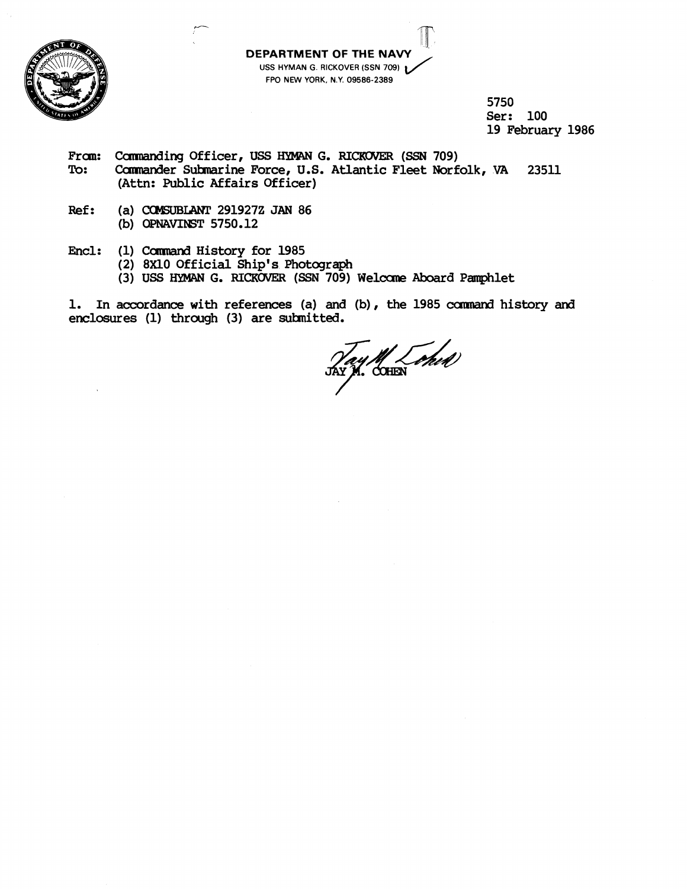

**DEPARTMENT OF THE NAV USS HYMAN G. RICKOVER (SSN 709) FPO NEW YORK, N.Y. 09586-2389** 

> **5750 Ser: 100 19 February 1986**

- From: Commanding Officer, USS HYMAN G. RICKOVER (SSN 709)<br>To: Commander Submarine Force, U.S. Atlantic Fleet Norf **To: Camrander Suhuine Force, U.S. Atlantic Fleet Norfolk, VA 23511 (Attn: Public Affairs Officer)**
- **Ref:** (a) **COMSUBLANT** 291927Z JAN 86 **(b)** OPNAVIIST **5750.12**
- **Encl: (1)** Cannand **History for 1985** 
	- **(2) 8x10 Official Ship's Photograph**
	- (3) USS HYMAN G. RICKOVER (SSN 709) Welcome Aboard Pamphlet

1. In accordance with references (a) and (b), the 1985 command history and enclosures (1) through (3) are submitted.

M Lohd